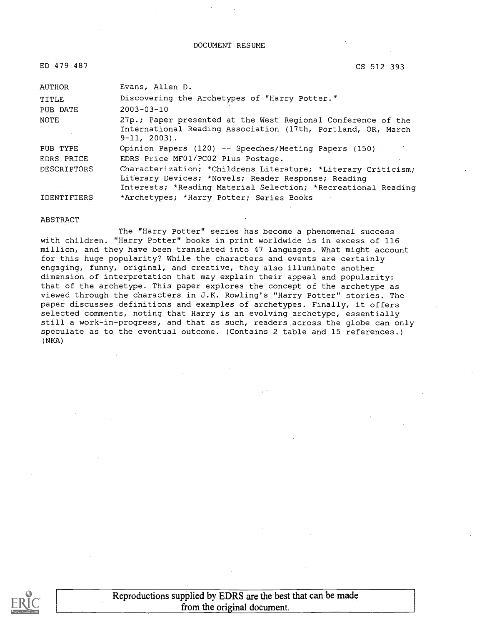#### DOCUMENT RESUME

| ED 479 487         | CS 512 393                                                                                                                                                                            |
|--------------------|---------------------------------------------------------------------------------------------------------------------------------------------------------------------------------------|
| AUTHOR             | Evans, Allen D.                                                                                                                                                                       |
| TITLE              | Discovering the Archetypes of "Harry Potter."                                                                                                                                         |
| PUB DATE           | $2003 - 03 - 10$                                                                                                                                                                      |
| NOTE               | 27p.; Paper presented at the West Regional Conference of the<br>International Reading Association (17th, Portland, OR, March<br>$9-11, 2003$ .                                        |
| PUB TYPE           | Opinion Papers (120) -- Speeches/Meeting Papers (150)                                                                                                                                 |
| EDRS PRICE         | EDRS Price MF01/PC02 Plus Postage.                                                                                                                                                    |
| <b>DESCRIPTORS</b> | Characterization; *Childrens Literature; *Literary Criticism;<br>Literary Devices; *Novels; Reader Response; Reading<br>Interests; *Reading Material Selection; *Recreational Reading |
| <b>IDENTIFIERS</b> | *Archetypes; *Harry Potter; Series Books                                                                                                                                              |

#### ABSTRACT

The "Harry Potter" series has become a phenomenal success with children. "Harry Potter" books in print worldwide is in excess of 116 million, and they have been translated into 47 languages. What might account for this huge popularity? While the characters and events are certainly engaging, funny, original, and creative, they also illuminate another dimension of interpretation that may explain their appeal and popularity: that of the archetype. This paper explores the concept of the archetype as viewed through the characters in J.K. Rowling's "Harry Potter" stories. The paper discusses definitions and examples of archetypes. Finally, it offers selected comments, noting that Harry is an evolving archetype, essentially still a work-in-progress, and that as such, readers across the globe can only speculate as to the eventual outcome. (Contains 2 table and 15 references.) (NKA)



Reproductions supplied by EDRS are the best that can be made from the original document.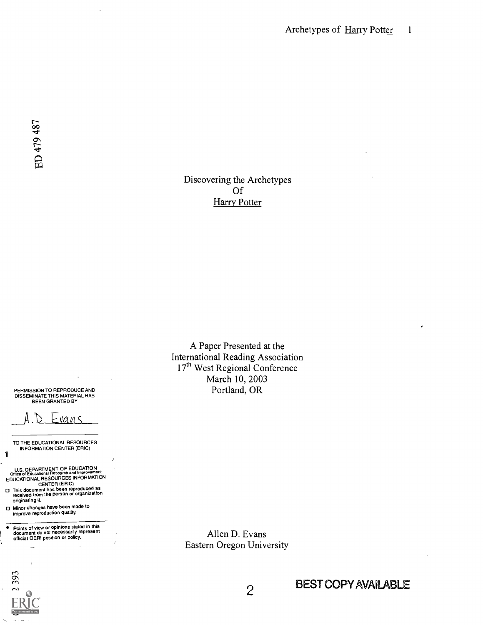## Discovering the Archetypes Of **Harry Potter**

A Paper Presented at the International Reading Association 17<sup>th</sup> West Regional Conference March 10, 2003 Portland, OR

PERMISSION TO REPRODUCE AND DISSEMINATE THIS MATERIAL HAS BEEN GRANTED BY



TO THE EDUCATIONAL RESOURCES INFORMATION CENTER (ERIC)

U.S. DEPARTMENT OF EDUCATION<br>Office of Educational Research and Improvement<br>EDUCATIONAL RESOURCES INFORMATION

CENTER (ERIC) This document has been reproduced as received from the person or organization originating it.

Minor changes have been made to improve reproduction quality.

 $\bullet$ Points of view or opinions stated in this document do not necessarily represent official OERI position or policy.

Allen D. Evans Eastern Oregon University



 $\ddotsc$ 

1

2 BEST COPY AVAILABLE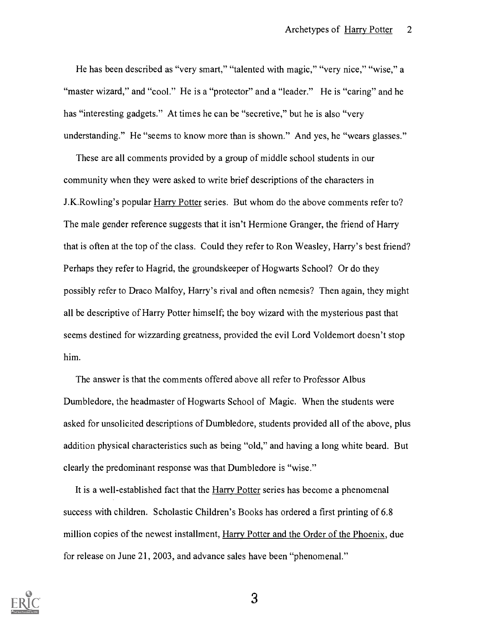He has been described as "very smart," "talented with magic," "very nice," "wise," a "master wizard," and "cool." He is a "protector" and a "leader." He is "caring" and he has "interesting gadgets." At times he can be "secretive," but he is also "very understanding." He "seems to know more than is shown." And yes, he "wears glasses."

These are all comments provided by a group of middle school students in our community when they were asked to write brief descriptions of the characters in J.K.Rowling's popular Harry Potter series. But whom do the above comments refer to? The male gender reference suggests that it isn't Hermione Granger, the friend of Harry that is often at the top of the class. Could they refer to Ron Weasley, Harry's best friend? Perhaps they refer to Hagrid, the groundskeeper of Hogwarts School? Or do they possibly refer to Draco Malfoy, Harry's rival and often nemesis? Then again, they might all be descriptive of Harry Potter himself; the boy wizard with the mysterious past that seems destined for wizzarding greatness, provided the evil Lord Voldemort doesn't stop him.

The answer is that the comments offered above all refer to Professor Albus Dumbledore, the headmaster of Hogwarts School of Magic. When the students were asked for unsolicited descriptions of Dumbledore, students provided all of the above, plus addition physical characteristics such as being "old," and having a long white beard. But clearly the predominant response was that Dumbledore is "wise."

It is a well-established fact that the Harry Potter series has become a phenomenal success with children. Scholastic Children's Books has ordered a first printing of 6.8 million copies of the newest installment, Harry Potter and the Order of the Phoenix, due for release on June 21, 2003, and advance sales have been "phenomenal."

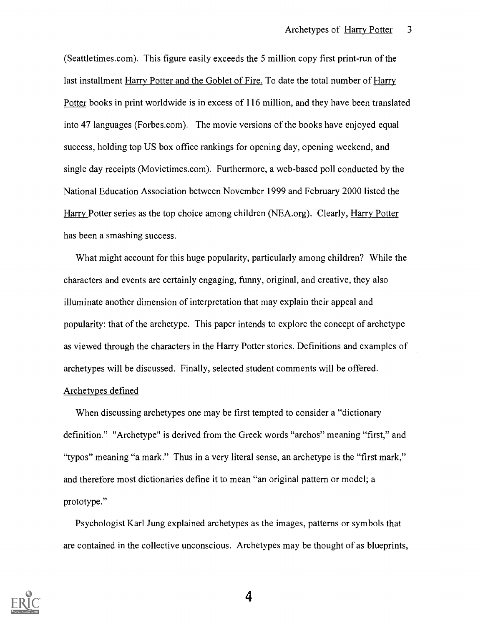(Seattletimes.com). This figure easily exceeds the 5 million copy first print-run of the last installment Harry Potter and the Goblet of Fire. To date the total number of Harry Potter books in print worldwide is in excess of 116 million, and they have been translated into 47 languages (Forbes.com). The movie versions of the books have enjoyed equal success, holding top US box office rankings for opening day, opening weekend, and single day receipts (Movietimes.com). Furthermore, a web-based poll conducted by the National Education Association between November 1999 and February 2000 listed the Harry Potter series as the top choice among children (NEA.org). Clearly, Harry Potter has been a smashing success.

What might account for this huge popularity, particularly among children? While the characters and events are certainly engaging, funny, original, and creative, they also illuminate another dimension of interpretation that may explain their appeal and popularity: that of the archetype. This paper intends to explore the concept of archetype as viewed through the characters in the Harry Potter stories. Definitions and examples of archetypes will be discussed. Finally, selected student comments will be offered.

### Archetypes defined

When discussing archetypes one may be first tempted to consider a "dictionary definition." "Archetype" is derived from the Greek words "archos" meaning "first," and "typos" meaning "a mark." Thus in a very literal sense, an archetype is the "first mark," and therefore most dictionaries define it to mean "an original pattern or model; a prototype."

Psychologist Karl Jung explained archetypes as the images, patterns or symbols that are contained in the collective unconscious. Archetypes may be thought of as blueprints,

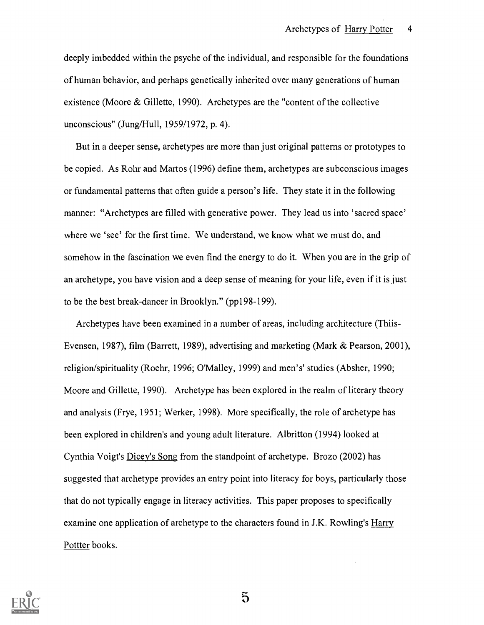deeply imbedded within the psyche of the individual, and responsible for the foundations of human behavior, and perhaps genetically inherited over many generations of human existence (Moore & Gillette, 1990). Archetypes are the "content of the collective unconscious" (Jung/Hull, 1959/1972, p. 4).

But in a deeper sense, archetypes are more than just original patterns or prototypes to be copied. As Rohr and Martos (1996) define them, archetypes are subconscious images or fundamental patterns that often guide a person's life. They state it in the following manner: "Archetypes are filled with generative power. They lead us into 'sacred space' where we 'see' for the first time. We understand, we know what we must do, and somehow in the fascination we even find the energy to do it. When you are in the grip of an archetype, you have vision and a deep sense of meaning for your life, even if it is just to be the best break-dancer in Brooklyn." (pp198-199).

Archetypes have been examined in a number of areas, including architecture (Thiis-Evensen, 1987), film (Barrett, 1989), advertising and marketing (Mark & Pearson, 2001), religion/spirituality (Roehr, 1996; O'Malley, 1999) and men's' studies (Absher, 1990; Moore and Gillette, 1990). Archetype has been explored in the realm of literary theory and analysis (Frye, 1951; Werker, 1998). More specifically, the role of archetype has been explored in children's and young adult literature. Albritton (1994) looked at Cynthia Voigt's Dicey's Song from the standpoint of archetype. Brozo (2002) has suggested that archetype provides an entry point into literacy for boys, particularly those that do not typically engage in literacy activities. This paper proposes to specifically examine one application of archetype to the characters found in J.K. Rowling's Harry Pottter books.

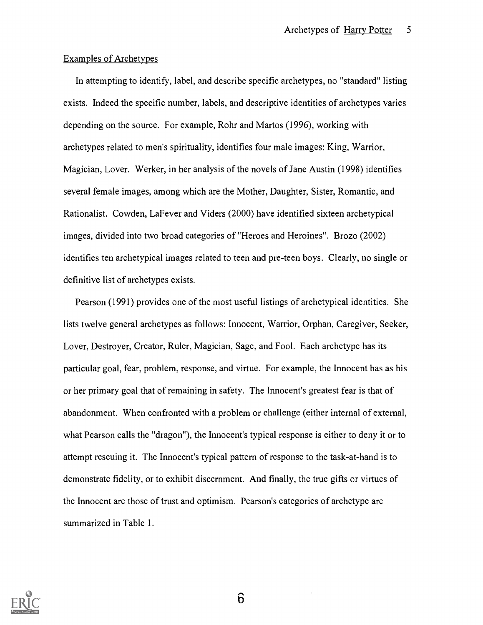### Examples of Archetypes

In attempting to identify, label, and describe specific archetypes, no "standard" listing exists. Indeed the specific number, labels, and descriptive identities of archetypes varies depending on the source. For example, Rohr and Martos (1996), working with archetypes related to men's spirituality, identifies four male images: King, Warrior, Magician, Lover. Werker, in her analysis of the novels of Jane Austin (1998) identifies several female images, among which are the Mother, Daughter, Sister, Romantic, and Rationalist. Cowden, LaFever and Viders (2000) have identified sixteen archetypical images, divided into two broad categories of "Heroes and Heroines". Brozo (2002) identifies ten archetypical images related to teen and pre-teen boys. Clearly, no single or definitive list of archetypes exists.

Pearson (1991) provides one of the most useful listings of archetypical identities. She lists twelve general archetypes as follows: Innocent, Warrior, Orphan, Caregiver, Seeker, Lover, Destroyer, Creator, Ruler, Magician, Sage, and Fool. Each archetype has its particular goal, fear, problem, response, and virtue. For example, the Innocent has as his or her primary goal that of remaining in safety. The Innocent's greatest fear is that of abandonment. When confronted with a problem or challenge (either internal of external, what Pearson calls the "dragon"), the Innocent's typical response is either to deny it or to attempt rescuing it. The Innocent's typical pattern of response to the task-at-hand is to demonstrate fidelity, or to exhibit discernment. And finally, the true gifts or virtues of the Innocent are those of trust and optimism. Pearson's categories of archetype are summarized in Table 1.

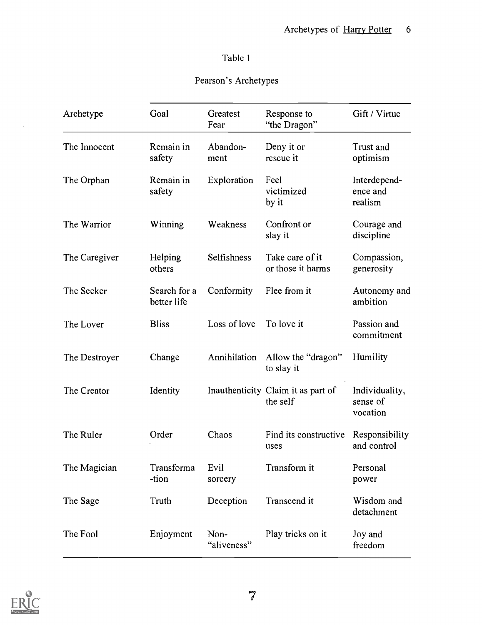## Table 1

# Pearson's Archetypes

| Archetype     | Goal                        | Greatest<br>Fear    | Response to<br>"the Dragon"                    | Gift / Virtue                          |
|---------------|-----------------------------|---------------------|------------------------------------------------|----------------------------------------|
| The Innocent  | Remain in<br>safety         | Abandon-<br>ment    | Deny it or<br>rescue it                        | Trust and<br>optimism                  |
| The Orphan    | Remain in<br>safety         | Exploration         | Feel<br>victimized<br>by it                    | Interdepend-<br>ence and<br>realism    |
| The Warrior   | Winning                     | Weakness            | Confront or<br>slay it                         | Courage and<br>discipline              |
| The Caregiver | Helping<br>others           | Selfishness         | Take care of it<br>or those it harms           | Compassion,<br>generosity              |
| The Seeker    | Search for a<br>better life | Conformity          | Flee from it                                   | Autonomy and<br>ambition               |
| The Lover     | <b>Bliss</b>                | Loss of love        | To love it                                     | Passion and<br>commitment              |
| The Destroyer | Change                      | Annihilation        | Allow the "dragon"<br>to slay it               | Humility                               |
| The Creator   | Identity                    |                     | Inauthenticity Claim it as part of<br>the self | Individuality,<br>sense of<br>vocation |
| The Ruler     | Order                       | Chaos               | Find its constructive<br>uses                  | Responsibility<br>and control          |
| The Magician  | Transforma<br>-tion         | Evil<br>sorcery     | Transform it                                   | Personal<br>power                      |
| The Sage      | Truth                       | Deception           | Transcend it                                   | Wisdom and<br>detachment               |
| The Fool      | Enjoyment                   | Non-<br>"aliveness" | Play tricks on it                              | Joy and<br>freedom                     |



 $\bar{z}$ 

 $\mathcal{L}^{\pm}$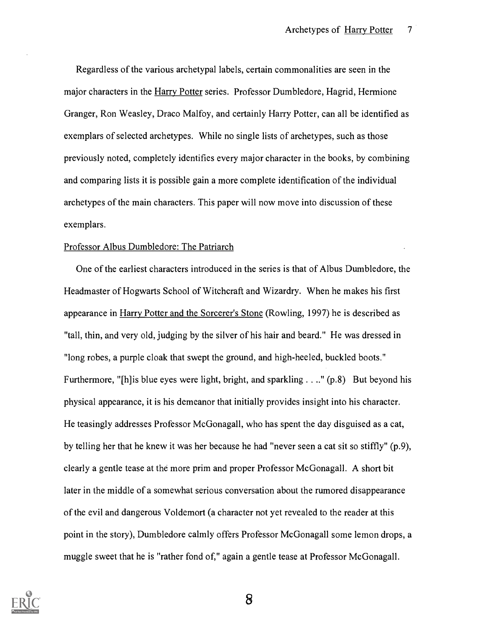Regardless of the various archetypal labels, certain commonalities are seen in the major characters in the Harry Potter series. Professor Dumbledore, Hagrid, Hermione Granger, Ron Weasley, Draco Malfoy, and certainly Harry Potter, can all be identified as exemplars of selected archetypes. While no single lists of archetypes, such as those previously noted, completely identifies every major character in the books, by combining and comparing lists it is possible gain a more complete identification of the individual archetypes of the main characters. This paper will now move into discussion of these exemplars.

#### Professor Albus Dumbledore: The Patriarch

One of the earliest characters introduced in the series is that of Albus Dumbledore, the Headmaster of Hogwarts School of Witchcraft and Wizardry. When he makes his first appearance in Harry Potter and the Sorcerer's Stone (Rowling, 1997) he is described as "tall, thin, and very old, judging by the silver of his hair and beard." He was dressed in "long robes, a purple cloak that swept the ground, and high-heeled, buckled boots." Furthermore, "[h] is blue eyes were light, bright, and sparkling . . .." (p.8) But beyond his physical appearance, it is his demeanor that initially provides insight into his character. He teasingly addresses Professor McGonagall, who has spent the day disguised as a cat, by telling her that he knew it was her because he had "never seen a cat sit so stiffly" (p.9), clearly a gentle tease at the more prim and proper Professor McGonagall. A short bit later in the middle of a somewhat serious conversation about the rumored disappearance of the evil and dangerous Voldemort (a character not yet revealed to the reader at this point in the story), Dumbledore calmly offers Professor McGonagall some lemon drops, a muggle sweet that he is "rather fond of," again a gentle tease at Professor McGonagall.

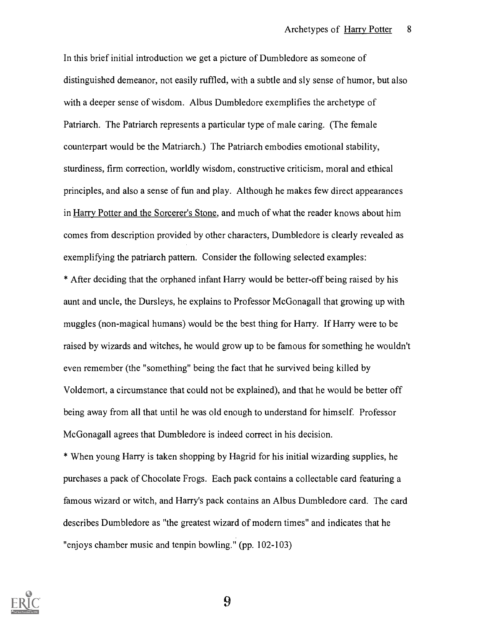In this brief initial introduction we get a picture of Dumbledore as someone of distinguished demeanor, not easily ruffled, with a subtle and sly sense of humor, but also with a deeper sense of wisdom. Albus Dumbledore exemplifies the archetype of Patriarch. The Patriarch represents a particular type of male caring. (The female counterpart would be the Matriarch.) The Patriarch embodies emotional stability, sturdiness, firm correction, worldly wisdom, constructive criticism, moral and ethical principles, and also a sense of fun and play. Although he makes few direct appearances in Harry Potter and the Sorcerer's Stone, and much of what the reader knows about him comes from description provided by other characters, Dumbledore is clearly revealed as exemplifying the patriarch pattern. Consider the following selected examples:

\* After deciding that the orphaned infant Harry would be better-off being raised by his aunt and uncle, the Dursleys, he explains to Professor McGonagall that growing up with muggles (non-magical humans) would be the best thing for Harry. If Harry were to be raised by wizards and witches, he would grow up to be famous for something he wouldn't even remember (the "something" being the fact that he survived being killed by Voldemort, a circumstance that could not be explained), and that he would be better off being away from all that until he was old enough to understand for himself. Professor McGonagall agrees that Dumbledore is indeed correct in his decision.

\* When young Harry is taken shopping by Hagrid for his initial wizarding supplies, he purchases a pack of Chocolate Frogs. Each pack contains a collectable card featuring a famous wizard or witch, and Harry's pack contains an Albus Dumbledore card. The card describes Dumbledore as "the greatest wizard of modern times" and indicates that he "enjoys chamber music and tenpin bowling." (pp. 102-103)

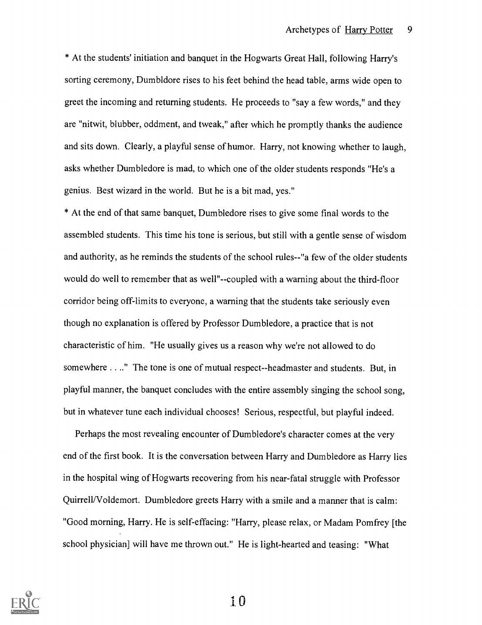\* At the students' initiation and banquet in the Hogwarts Great Hall, following Harry's sorting ceremony, Dumbldore rises to his feet behind the head table, arms wide open to greet the incoming and returning students. He proceeds to "say a few words," and they are "nitwit, blubber, oddment, and tweak," after which he promptly thanks the audience and sits down. Clearly, a playful sense of humor. Harry, not knowing whether to laugh, asks whether Dumbledore is mad, to which one of the older students responds "He's a genius. Best wizard in the world. But he is a bit mad, yes."

\* At the end of that same banquet, Dumbledore rises to give some final words to the assembled students. This time his tone is serious, but still with a gentle sense of wisdom and authority, as he reminds the students of the school rules--"a few of the older students would do well to remember that as well"--coupled with a warning about the third-floor corridor being off-limits to everyone, a warning that the students take seriously even though no explanation is offered by Professor Dumbledore, a practice that is not characteristic of him. "He usually gives us a reason why we're not allowed to do somewhere . . .." The tone is one of mutual respect--headmaster and students. But, in playful manner, the banquet concludes with the entire assembly singing the school song, but in whatever tune each individual chooses! Serious, respectful, but playful indeed.

Perhaps the most revealing encounter of Dumbledore's character comes at the very end of the first book. It is the conversation between Harry and Dumbledore as Harry lies in the hospital wing of Hogwarts recovering from his near-fatal struggle with Professor Quirrell/Voldemort. Dumbledore greets Harry with a smile and a manner that is calm: "Good morning, Harry. He is self-effacing: "Harry, please relax, or Madam Pomfrey [the school physician] will have me thrown out." He is light-hearted and teasing: "What

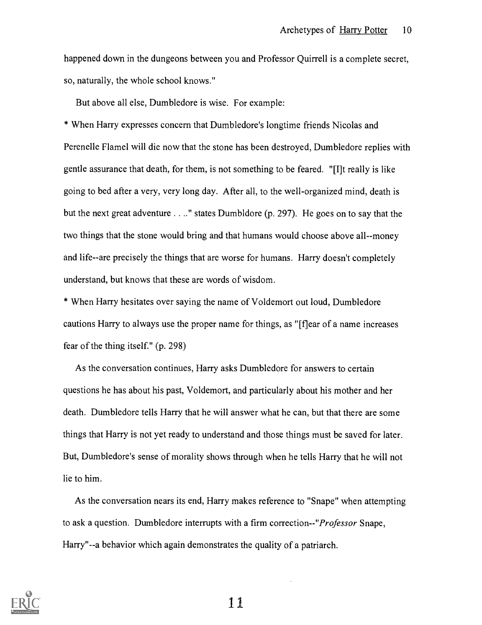happened down in the dungeons between you and Professor Quirrell is a complete secret, so, naturally, the whole school knows."

But above all else, Dumbledore is wise. For example:

\* When Harry expresses concern that Dumbledore's longtime friends Nicolas and Perenelle Flamel will die now that the stone has been destroyed, Dumbledore replies with gentle assurance that death, for them, is not something to be feared. "If really is like going to bed after a very, very long day. After all, to the well-organized mind, death is but the next great adventure . . .." states Dumbldore (p. 297). He goes on to say that the two things that the stone would bring and that humans would choose above all--money and life--are precisely the things that are worse for humans. Harry doesn't completely understand, but knows that these are words of wisdom.

\* When Harry hesitates over saying the name of Voldemort out loud, Dumbledore cautions Harry to always use the proper name for things, as "[f]ear of a name increases fear of the thing itself." (p. 298)

As the conversation continues, Harry asks Dumbledore for answers to certain questions he has about his past, Voldemort, and particularly about his mother and her death. Dumbledore tells Harry that he will answer what he can, but that there are some things that Harry is not yet ready to understand and those things must be saved for later. But, Dumbledore's sense of morality shows through when he tells Harry that he will not lie to him.

As the conversation nears its end, Harry makes reference to "Snape" when attempting to ask a question. Dumbledore interrupts with a firm correction--"*Professor* Snape, Harry"--a behavior which again demonstrates the quality of a patriarch.

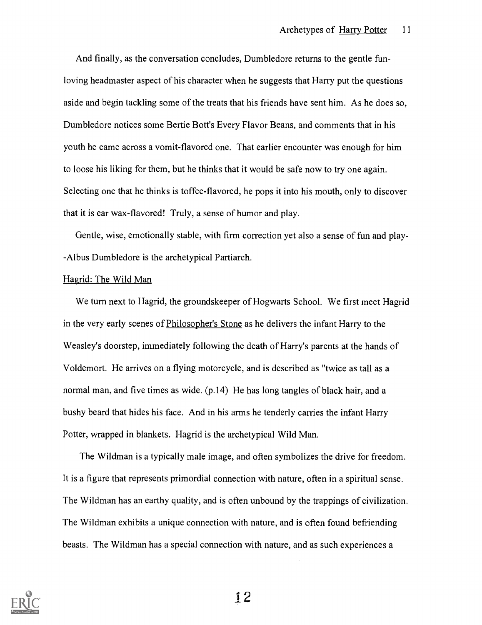And finally, as the conversation concludes, Dumbledore returns to the gentle funloving headmaster aspect of his character when he suggests that Harry put the questions aside and begin tackling some of the treats that his friends have sent him. As he does so, Dumbledore notices some Bertie Bott's Every Flavor Beans, and comments that in his youth he came across a vomit-flavored one. That earlier encounter was enough for him to loose his liking for them, but he thinks that it would be safe now to try one again. Selecting one that he thinks is toffee-flavored, he pops it into his mouth, only to discover that it is ear wax-flavored! Truly, a sense of humor and play.

Gentle, wise, emotionally stable, with firm correction yet also a sense of fun and play- -Albus Dumbledore is the archetypical Partiarch.

#### Hagrid: The Wild Man

We turn next to Hagrid, the groundskeeper of Hogwarts School. We first meet Hagrid in the very early scenes of Philosopher's Stone as he delivers the infant Harry to the Weasley's doorstep, immediately following the death of Harry's parents at the hands of Voldemort. He arrives on a flying motorcycle, and is described as "twice as tall as a normal man, and five times as wide. (p.14) He has long tangles of black hair, and a bushy beard that hides his face. And in his arms he tenderly carries the infant Harry Potter, wrapped in blankets. Hagrid is the archetypical Wild Man.

The Wildman is a typically male image, and often symbolizes the drive for freedom. It is a figure that represents primordial connection with nature, often in a spiritual sense. The Wildman has an earthy quality, and is often unbound by the trappings of civilization. The Wildman exhibits a unique connection with nature, and is often found befriending beasts. The Wildman has a special connection with nature, and as such experiences a

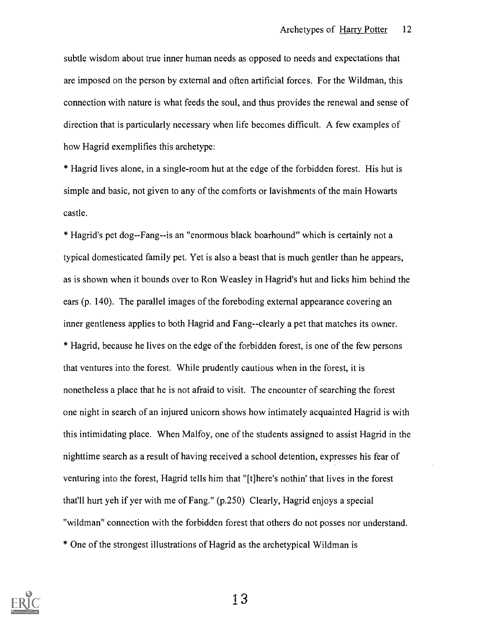subtle wisdom about true inner human needs as opposed to needs and expectations that are imposed on the person by external and often artificial forces. For the Wildman, this connection with nature is what feeds the soul, and thus provides the renewal and sense of direction that is particularly necessary when life becomes difficult. A few examples of how Hagrid exemplifies this archetype:

\* Hagrid lives alone, in a single-room but at the edge of the forbidden forest. His but is simple and basic, not given to any of the comforts or lavishments of the main Howarts castle.

\* Hagrid's pet dog--Fang--is an "enormous black boarhound" which is certainly not a typical domesticated family pet. Yet is also a beast that is much gentler than he appears, as is shown when it bounds over to Ron Weasley in Hagrid's but and licks him behind the ears (p. 140). The parallel images of the foreboding external appearance covering an inner gentleness applies to both Hagrid and Fang--clearly a pet that matches its owner. \* Hagrid, because he lives on the edge of the forbidden forest, is one of the few persons that ventures into the forest. While prudently cautious when in the forest, it is nonetheless a place that he is not afraid to visit. The encounter of searching the forest one night in search of an injured unicorn shows how intimately acquainted Hagrid is with this intimidating place. When Malfoy, one of the students assigned to assist Hagrid in the nighttime search as a result of having received a school detention, expresses his fear of venturing into the forest, Hagrid tells him that "[t]here's nothin' that lives in the forest that'll hurt yeh if yer with me of Fang." (p.250) Clearly, Hagrid enjoys a special "wildman" connection with the forbidden forest that others do not posses nor understand. \* One of the strongest illustrations of Hagrid as the archetypical Wildman is

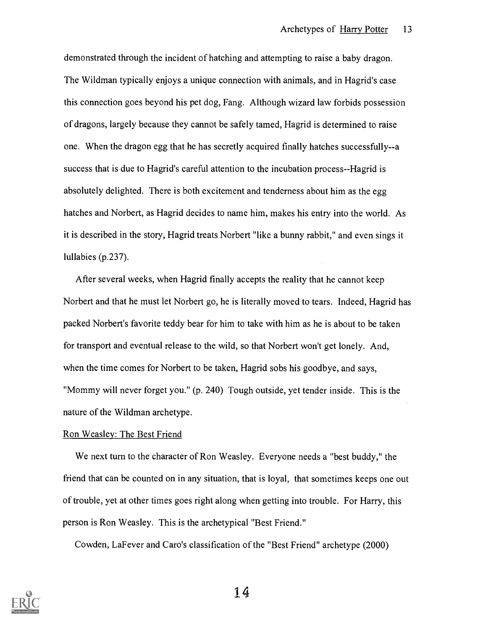demonstrated through the incident of hatching and attempting to raise a baby dragon. The Wildman typically enjoys a unique connection with animals, and in Hagrid's case this connection goes beyond his pet dog, Fang. Although wizard law forbids possession of dragons, largely because they cannot be safely tamed, Hagrid is determined to raise one. When the dragon egg that he has secretly acquired finally hatches successfully--a success that is due to Hagrid's careful attention to the incubation process--Hagrid is absolutely delighted. There is both excitement and tenderness about him as the egg hatches and Norbert, as Hagrid decides to name him, makes his entry into the world. As it is described in the story, Hagrid treats Norbert "like a bunny rabbit," and even sings it lullabies (p.237).

After several weeks, when Hagrid finally accepts the reality that he cannot keep Norbert and that he must let Norbert go, he is literally moved to tears. Indeed, Hagrid has packed Norbert's favorite teddy bear for him to take with him as he is about to be taken for transport and eventual release to the wild, so that Norbert won't get lonely. And, when the time comes for Norbert to be taken, Hagrid sobs his goodbye, and says, "Mommy will never forget you." (p. 240) Tough outside, yet tender inside. This is the nature of the Wildman archetype.

### Ron Weasley: The Best Friend

We next turn to the character of Ron Weasley. Everyone needs a "best buddy," the friend that can be counted on in any situation, that is loyal, that sometimes keeps one out of trouble, yet at other times goes right along when getting into trouble. For Harry, this person is Ron Weasley. This is the archetypical "Best Friend."

Cowden, LaFever and Caro's classification of the "Best Friend" archetype (2000)

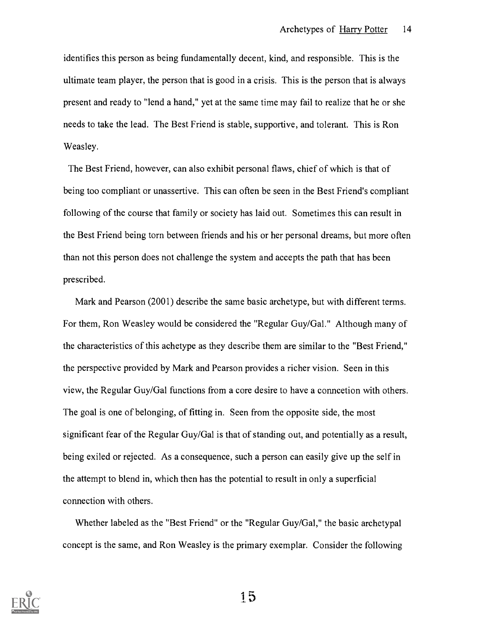identifies this person as being fundamentally decent, kind, and responsible. This is the ultimate team player, the person that is good in a crisis. This is the person that is always present and ready to "lend a hand," yet at the same time may fail to realize that he or she needs to take the lead. The Best Friend is stable, supportive, and tolerant. This is Ron Weasley.

The Best Friend, however, can also exhibit personal flaws, chief of which is that of being too compliant or unassertive. This can often be seen in the Best Friend's compliant following of the course that family or society has laid out. Sometimes this can result in the Best Friend being torn between friends and his or her personal dreams, but more often than not this person does not challenge the system and accepts the path that has been prescribed.

Mark and Pearson (2001) describe the same basic archetype, but with different terms. For them, Ron Weasley would be considered the "Regular Guy/Gal." Although many of the characteristics of this achetype as they describe them are similar to the "Best Friend," the perspective provided by Mark and Pearson provides a richer vision. Seen in this view, the Regular Guy/Gal functions from a core desire to have a conncetion with others. The goal is one of belonging, of fitting in. Seen from the opposite side, the most significant fear of the Regular Guy/Gal is that of standing out, and potentially as a result, being exiled or rejected. As a consequence, such a person can easily give up the self in the attempt to blend in, which then has the potential to result in only a superficial connection with others.

Whether labeled as the "Best Friend" or the "Regular Guy/Gal," the basic archetypal concept is the same, and Ron Weasley is the primary exemplar. Consider the following

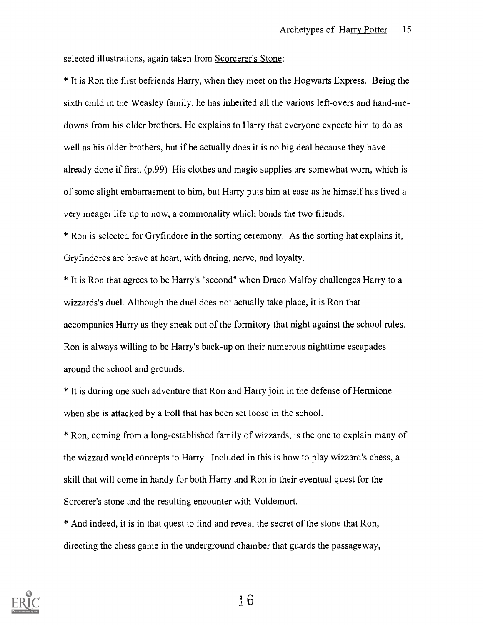selected illustrations, again taken from Scorcerer's Stone:

\* It is Ron the first befriends Harry, when they meet on the Hogwarts Express. Being the sixth child in the Weasley family, he has inherited all the various left-overs and hand-medowns from his older brothers. He explains to Harry that everyone expecte him to do as well as his older brothers, but if he actually does it is no big deal because they have already done if first. (p.99) His clothes and magic supplies are somewhat worn, which is of some slight embarrasment to him, but Harry puts him at ease as he himself has lived a very meager life up to now, a commonality which bonds the two friends.

\* Ron is selected for Gryfindore in the sorting ceremony. As the sorting hat explains it, Gryfindores are brave at heart, with daring, nerve, and loyalty.

\* It is Ron that agrees to be Harry's "second" when Draco Malfoy challenges Harry to a wizzards's duel. Although the duel does not actually take place, it is Ron that accompanies Harry as they sneak out of the formitory that night against the school rules. Ron is always willing to be Harry's back-up on their numerous nighttime escapades around the school and grounds.

\* It is during one such adventure that Ron and Harry join in the defense of Hermione when she is attacked by a troll that has been set loose in the school.

\* Ron, coming from a long-established family of wizzards, is the one to explain many of the wizzard world concepts to Harry. Included in this is how to play wizzard's chess, a skill that will come in handy for both Harry and Ron in their eventual quest for the Sorcerer's stone and the resulting encounter with Voldemort.

\* And indeed, it is in that quest to find and reveal the secret of the stone that Ron, directing the chess game in the underground chamber that guards the passageway,

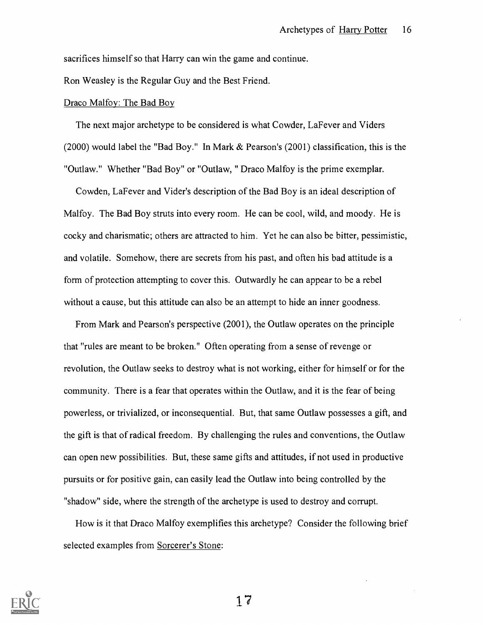sacrifices himself so that Harry can win the game and continue.

Ron Weasley is the Regular Guy and the Best Friend.

#### Draco Malfoy: The Bad Boy

The next major archetype to be considered is what Cowder, LaFever and Viders (2000) would label the "Bad Boy." In Mark & Pearson's (2001) classification, this is the "Outlaw." Whether "Bad Boy" or "Outlaw, " Draco Malfoy is the prime exemplar.

Cowden, LaFever and Vider's description of the Bad Boy is an ideal description of Malfoy. The Bad Boy struts into every room. He can be cool, wild, and moody. He is cocky and charismatic; others are attracted to him. Yet he can also be bitter, pessimistic, and volatile. Somehow, there are secrets from his past, and often his bad attitude is a form of protection attempting to cover this. Outwardly he can appear to be a rebel without a cause, but this attitude can also be an attempt to hide an inner goodness.

From Mark and Pearson's perspective (2001), the Outlaw operates on the principle that "rules are meant to be broken." Often operating from a sense of revenge or revolution, the Outlaw seeks to destroy what is not working, either for himself or for the community. There is a fear that operates within the Outlaw, and it is the fear of being powerless, or trivialized, or inconsequential. But, that same Outlaw possesses a gift, and the gift is that of radical freedom. By challenging the rules and conventions, the Outlaw can open new possibilities. But, these same gifts and attitudes, if not used in productive pursuits or for positive gain, can easily lead the Outlaw into being controlled by the "shadow" side, where the strength of the archetype is used to destroy and corrupt.

How is it that Draco Malfoy exemplifies this archetype? Consider the following brief selected examples from Sorcerer's Stone:

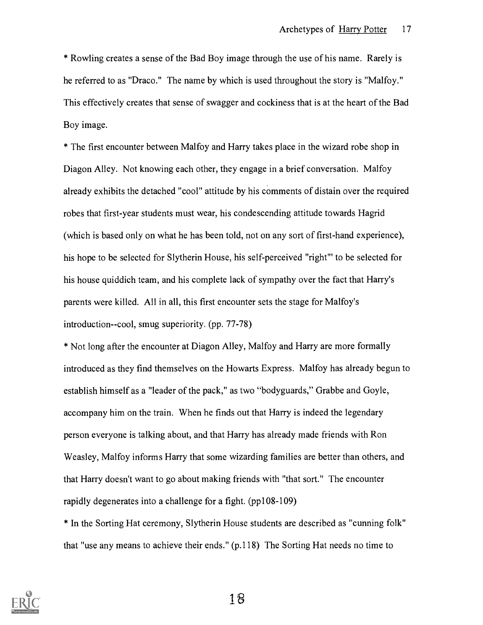\* Row ling creates a sense of the Bad Boy image through the use of his name. Rarely is he referred to as "Draco." The name by which is used throughout the story is "Malfoy." This effectively creates that sense of swagger and cockiness that is at the heart of the Bad Boy image.

\* The first encounter between Malfoy and Harry takes place in the wizard robe shop in Diagon Alley. Not knowing each other, they engage in a brief conversation. Malfoy already exhibits the detached "cool" attitude by his comments of distain over the required robes that first-year students must wear, his condescending attitude towards Hagrid (which is based only on what he has been told, not on any sort of first-hand experience), his hope to be selected for Slytherin House, his self-perceived "right"' to be selected for his house quiddich team, and his complete lack of sympathy over the fact that Harry's parents were killed. All in all, this first encounter sets the stage for Malfoy's introduction--cool, smug superiority. (pp. 77-78)

\* Not long after the encounter at Diagon Alley, Malfoy and Harry are more formally introduced as they find themselves on the Howarts Express. Malfoy has already begun to establish himself as a "leader of the pack," as two "bodyguards," Grabbe and Goyle, accompany him on the train. When he finds out that Harry is indeed the legendary person everyone is talking about, and that Harry has already made friends with Ron Weasley, Malfoy informs Harry that some wizarding families are better than others, and that Harry doesn't want to go about making friends with "that sort." The encounter rapidly degenerates into a challenge for a fight. (pp108-109)

\* In the Sorting Hat ceremony, Slytherin House students are described as "cunning folk" that "use any means to achieve their ends." (p.118) The Sorting Hat needs no time to



1\_'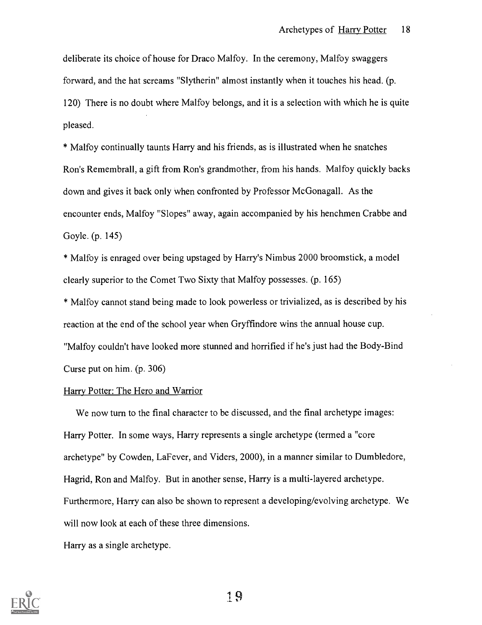deliberate its choice of house for Draco Malfoy. In the ceremony, Malfoy swaggers forward, and the hat screams "Slytherin" almost instantly when it touches his head. (p. 120) There is no doubt where Malfoy belongs, and it is a selection with which he is quite pleased.

\* Malfoy continually taunts Harry and his friends, as is illustrated when he snatches Ron's Remembrall, a gift from Ron's grandmother, from his hands. Malfoy quickly backs down and gives it back only when confronted by Professor McGonagall. As the encounter ends, Malfoy "Slopes" away, again accompanied by his henchmen Crabbe and Goyle. (p. 145)

\* Malfoy is enraged over being upstaged by Harry's Nimbus 2000 broomstick, a model clearly superior to the Comet Two Sixty that Malfoy possesses. (p. 165)

\* Malfoy cannot stand being made to look powerless or trivialized, as is described by his reaction at the end of the school year when Gryffindore wins the annual house cup. "Malfoy couldn't have looked more stunned and horrified if he's just had the Body-Bind Curse put on him. (p. 306)

#### Harry Potter: The Hero and Warrior

We now turn to the final character to be discussed, and the final archetype images: Harry Potter. In some ways, Harry represents a single archetype (termed a "core archetype" by Cowden, LaFever, and Viders, 2000), in a manner similar to Dumbledore, Hagrid, Ron and Malfoy. But in another sense, Harry is a multi-layered archetype. Furthermore, Harry can also be shown to represent a developing/evolving archetype. We will now look at each of these three dimensions.

Harry as a single archetype.

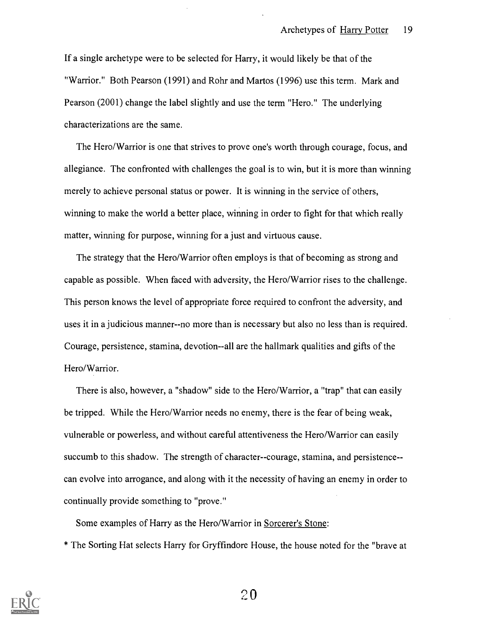If a single archetype were to be selected for Harry, it would likely be that of the "Warrior." Both Pearson (1991) and Rohr and Martos (1996) use this term. Mark and Pearson (2001) change the label slightly and use the term "Hero." The underlying characterizations are the same.

The Hero/Warrior is one that strives to prove one's worth through courage, focus, and allegiance. The confronted with challenges the goal is to win, but it is more than winning merely to achieve personal status or power. It is winning in the service of others, winning to make the world a better place, winning in order to fight for that which really matter, winning for purpose, winning for a just and virtuous cause.

The strategy that the Hero/Warrior often employs is that of becoming as strong and capable as possible. When faced with adversity, the Hero/Warrior rises to the challenge. This person knows the level of appropriate force required to confront the adversity, and uses it in a judicious manner--no more than is necessary but also no less than is required. Courage, persistence, stamina, devotion--all are the hallmark qualities and gifts of the Hero/Warrior.

There is also, however, a "shadow" side to the Hero/Warrior, a "trap" that can easily be tripped. While the Hero/Warrior needs no enemy, there is the fear of being weak, vulnerable or powerless, and without careful attentiveness the Hero/Warrior can easily succumb to this shadow. The strength of character--courage, stamina, and persistence- can evolve into arrogance, and along with it the necessity of having an enemy in order to continually provide something to "prove."

Some examples of Harry as the Hero/Warrior in Sorcerer's Stone:

\* The Sorting Hat selects Harry for Gryffindore House, the house noted for the "brave at

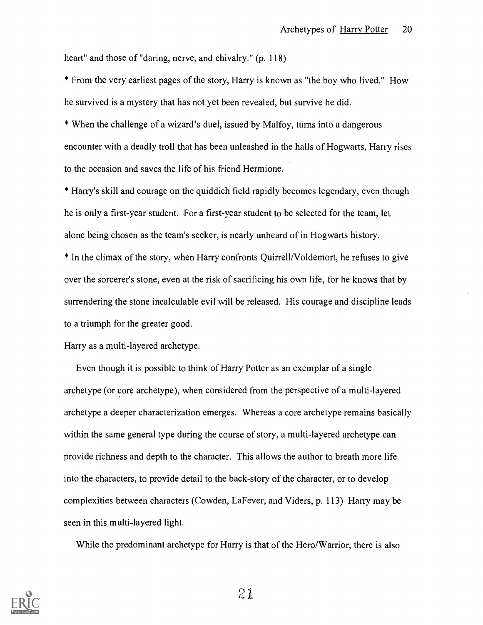heart" and those of "daring, nerve, and chivalry." (p. 118)

\* From the very earliest pages of the story, Harry is known as "the boy who lived." How he survived is a mystery that has not yet been revealed, but survive he did.

\* When the challenge of a wizard's duel, issued by Malfoy, turns into a dangerous encounter with a deadly troll that has been unleashed in the halls of Hogwarts, Harry rises to the occasion and saves the life of his friend Hermione.

\* Harry's skill and courage on the quiddich field rapidly becomes legendary, even though he is only a first-year student. For a first-year student to be selected for the team, let alone being chosen as the team's seeker, is nearly unheard of in Hogwarts history.

\* In the climax of the story, when Harry confronts Quirrell/Voldemort, he refuses to give over the sorcerer's stone, even at the risk of sacrificing his own life, for he knows that by surrendering the stone incalculable evil will be released. His courage and discipline leads to a triumph for the greater good.

Harry as a multi-layered archetype.

Even though it is possible to think of Harry Potter as an exemplar of a single archetype (or core archetype), when considered from the perspective of a multi-layered archetype a deeper characterization emerges. Whereas a core archetype remains basically within the same general type during the course of story, a multi-layered archetype can provide richness and depth to the character. This allows the author to breath more life into the characters, to provide detail to the back-story of the character, or to develop complexities between characters (Cowden, LaFever, and Viders, p. 113) Harry may be seen in this multi-layered light.

While the predominant archetype for Harry is that of the Hero/Warrior, there is also

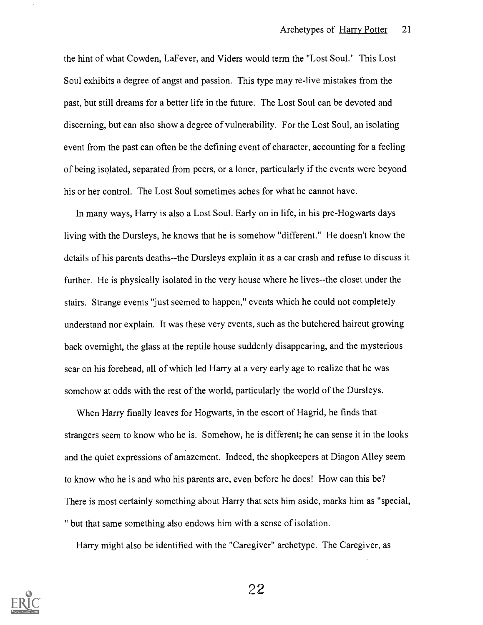the hint of what Cowden, LaFever, and Viders would term the "Lost Soul." This Lost Soul exhibits a degree of angst and passion. This type may re-live mistakes from the past, but still dreams for a better life in the future. The Lost Soul can be devoted and discerning, but can also show a degree of vulnerability. For the Lost Soul, an isolating event from the past can often be the defining event of character, accounting for a feeling of being isolated, separated from peers, or a loner, particularly if the events were beyond his or her control. The Lost Soul sometimes aches for what he cannot have.

In many ways, Harry is also a Lost Soul. Early on in life, in his pre-Hogwarts days living with the Dursleys, he knows that he is somehow "different." He doesn't know the details of his parents deaths--the Dursleys explain it as a car crash and refuse to discuss it further. He is physically isolated in the very house where he lives--the closet under the stairs. Strange events "just seemed to happen," events which he could not completely understand nor explain. It was these very events, such as the butchered haircut growing back overnight, the glass at the reptile house suddenly disappearing, and the mysterious scar on his forehead, all of which led Harry at a very early age to realize that he was somehow at odds with the rest of the world, particularly the world of the Dursleys.

When Harry finally leaves for Hogwarts, in the escort of Hagrid, he finds that strangers seem to know who he is. Somehow, he is different; he can sense it in the looks and the quiet expressions of amazement. Indeed, the shopkeepers at Diagon Alley seem to know who he is and who his parents are, even before he does! How can this be? There is most certainly something about Harry that sets him aside, marks him as "special, " but that same something also endows him with a sense of isolation.

Harry might also be identified with the "Caregiver" archetype. The Caregiver, as

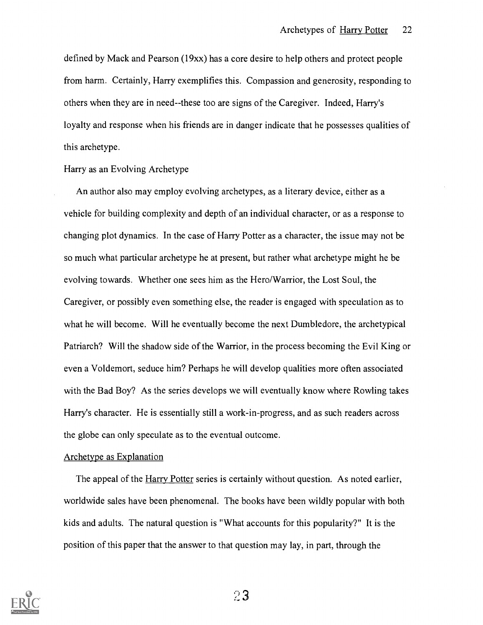defined by Mack and Pearson (19xx) has a core desire to help others and protect people from harm. Certainly, Harry exemplifies this. Compassion and generosity, responding to others when they are in need--these too are signs of the Caregiver. Indeed, Harry's loyalty and response when his friends are in danger indicate that he possesses qualities of this archetype.

Harry as an Evolving Archetype

An author also may employ evolving archetypes, as a literary device, either as a vehicle for building complexity and depth of an individual character, or as a response to changing plot dynamics. In the case of Harry Potter as a character, the issue may not be so much what particular archetype he at present, but rather what archetype might he be evolving towards. Whether one sees him as the Hero/Warrior, the Lost Soul, the Caregiver, or possibly even something else, the reader is engaged with speculation as to what he will become. Will he eventually become the next Dumbledore, the archetypical Patriarch? Will the shadow side of the Warrior, in the process becoming the Evil King or even a Voldemort, seduce him? Perhaps he will develop qualities more often associated with the Bad Boy? As the series develops we will eventually know where Rowling takes Harry's character. He is essentially still a work-in-progress, and as such readers across the globe can only speculate as to the eventual outcome.

#### Archetype as Explanation

The appeal of the Harry Potter series is certainly without question. As noted earlier, worldwide sales have been phenomenal. The books have been wildly popular with both kids and adults. The natural question is "What accounts for this popularity?" It is the position of this paper that the answer to that question may lay, in part, through the

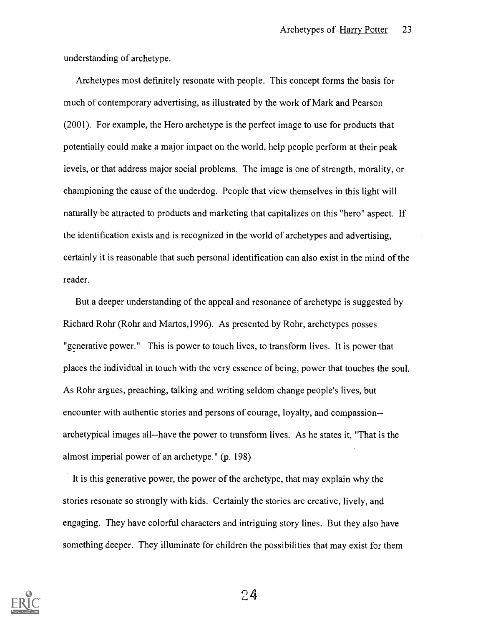understanding of archetype.

Archetypes most definitely resonate with people. This concept forms the basis for much of contemporary advertising, as illustrated by the work of Mark and Pearson (2001). For example, the Hero archetype is the perfect image to use for products that potentially could make a major impact on the world, help people perform at their peak levels, or that address major social problems. The image is one of strength, morality, or championing the cause of the underdog. People that view themselves in this light will naturally be attracted to products and marketing that capitalizes on this "hero" aspect. If the identification exists and is recognized in the world of archetypes and advertising, certainly it is reasonable that such personal identification can also exist in the mind of the reader.

But a deeper understanding of the appeal and resonance of archetype is suggested by Richard Rohr (Rohr and Martos,1996). As presented by Rohr, archetypes posses "generative power." This is power to touch lives, to transform lives. It is power that places the individual in touch with the very essence of being, power that touches the soul. As Rohr argues, preaching, talking and writing seldom change people's lives, but encounter with authentic stories and persons of courage, loyalty, and compassion- archetypical images all--have the power to transform lives. As he states it, "That is the almost imperial power of an archetype." (p. 198)

It is this generative power, the power of the archetype, that may explain why the stories resonate so strongly with kids. Certainly the stories are creative, lively, and engaging. They have colorful characters and intriguing story lines. But they also have something deeper. They illuminate for children the possibilities that may exist for them

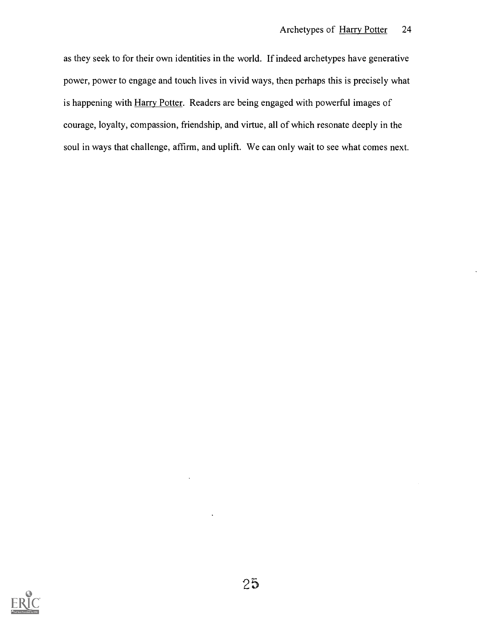as they seek to for their own identities in the world. If indeed archetypes have generative power, power to engage and touch lives in vivid ways, then perhaps this is precisely what is happening with Harry Potter. Readers are being engaged with powerful images of courage, loyalty, compassion, friendship, and virtue, all of which resonate deeply in the soul in ways that challenge, affirm, and uplift. We can only wait to see what comes next.

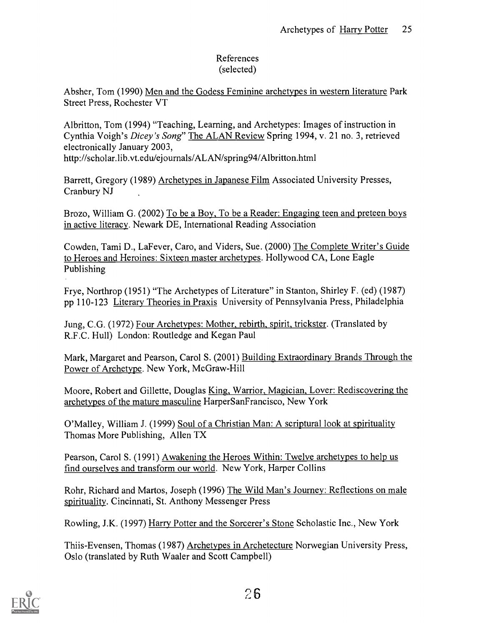## References (selected)

Absher, Tom (1990) Men and the Godess Feminine archetypes in western literature Park Street Press, Rochester VT

Albritton, Tom (1994) "Teaching, Learning, and Archetypes: Images of instruction in Cynthia Voigh's Dicey's Song" The ALAN Review Spring 1994, v. 21 no. 3, retrieved electronically January 2003,

http://scholar.lib.vt.edu/ejournals/ALAN/spring94/Albritton.html

Barrett, Gregory (1989) Archetypes in Japanese Film Associated University Presses, Cranbury NJ

Brozo, William G. (2002) To be a Boy, To be a Reader: Engaging teen and preteen boys in active literacy. Newark DE, International Reading Association

Cowden, Tami D., La Fever, Caro, and Viders, Sue. (2000) The Complete Writer's Guide to Heroes and Heroines: Sixteen master archetypes. Hollywood CA, Lone Eagle Publishing

Frye, Northrop (1951) "The Archetypes of Literature" in Stanton, Shirley F. (ed) (1987) pp 110-123 Literary Theories in Praxis University of Pennsylvania Press, Philadelphia

Jung, C.G. (1972) Four Archetypes: Mother, rebirth, spirit, trickster. (Translated by R.F.C. Hull) London: Routledge and Kegan Paul

Mark, Margaret and Pearson, Carol S. (2001) Building Extraordinary Brands Through the Power of Archetype. New York, McGraw-Hill

Moore, Robert and Gillette, Douglas King, Warrior, Magician, Lover: Rediscovering the archetypes of the mature masculine HarperSanFrancisco, New York

O'Malley, William J. (1999) Soul of a Christian Man: A scriptural look at spirituality Thomas More Publishing, Allen TX

Pearson, Carol S. (1991) Awakening the Heroes Within: Twelve archetypes to help us find ourselves and transform our world. New York, Harper Collins

Rohr, Richard and Martos, Joseph (1996) The Wild Man's Journey: Reflections on male spirituality. Cincinnati, St. Anthony Messenger Press

Rowling, J.K. (1997) Harry Potter and the Sorcerer's Stone Scholastic Inc., New York

Thiis-Evensen, Thomas (1987) Archetypes in Archetecture Norwegian University Press, Oslo (translated by Ruth Waaler and Scott Campbell)

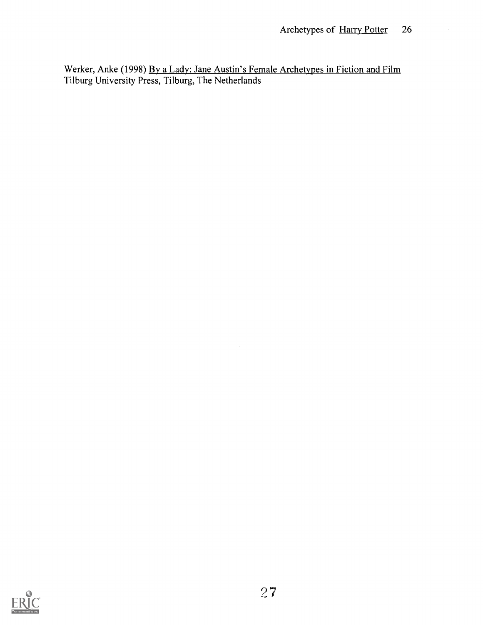Werker, Anke (1998) By a Lady: Jane Austin's Female Archetypes in Fiction and Film Tilburg University Press, Tilburg, The Netherlands

 $\hat{\mathcal{A}}$ 



 $\ddot{\phantom{0}}$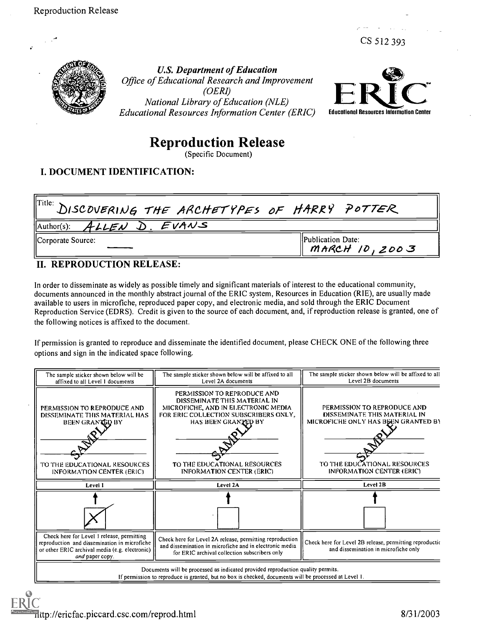CS 512 393



U.S. Department of Education Office of Educational Research and Improvement (OERI) National Library of Education (NLE) Educational Resources Information Center (ERIC)



# Reproduction Release

(Specific Document)

## I. DOCUMENT IDENTIFICATION:

| $\parallel^{\text{Title:}}$ DISCOVERING THE ARCHETYPES OF HARRY POTTER |                                               |
|------------------------------------------------------------------------|-----------------------------------------------|
| $\parallel$ Author(s): ALLEN D. EVANS                                  |                                               |
| Corporate Source:                                                      | <b>IPublication Date:</b><br>$MARCH$ 10, 2003 |

## II. REPRODUCTION RELEASE:

In order to disseminate as widely as possible timely and significant materials of interest to the educational community, documents announced in the monthly abstract journal of the ERIC system, Resources in Education (RIE), are usually made available to users in microfiche, reproduced paper copy, and electronic media, and sold through the ERIC Document Reproduction Service (EDRS). Credit is given to the source of each document, and, if reproduction release is granted, one of the following notices is affixed to the document.

If permission is granted to reproduce and disseminate the identified document, please CHECK ONE of the following three options and sign in the indicated space following.

| The sample sticker shown below will be<br>affixed to all Level 1 documents                                                                                      | The sample sticker shown below will be affixed to all<br>Level 2A documents                                                                                                                                                            | The sample sticker shown below will be affixed to all<br>Level 2B documents                                                                                     |
|-----------------------------------------------------------------------------------------------------------------------------------------------------------------|----------------------------------------------------------------------------------------------------------------------------------------------------------------------------------------------------------------------------------------|-----------------------------------------------------------------------------------------------------------------------------------------------------------------|
| PERMISSION TO REPRODUCE AND<br>DISSEMINATE THIS MATERIAL HAS<br>BEEN GRANTED BY<br>TO THE EDUCATIONAL RESOURCES<br><b>INFORMATION CENTER (ERIC)</b>             | PERMISSION TO REPRODUCE AND<br>DISSEMINATE THIS MATERIAL IN<br>MICROFICHE, AND IN ELECTRONIC MEDIA<br>FOR ERIC COLLECTION SUBSCRIBERS ONLY.<br>HAS BEEN GRANTED BY<br>TO THE EDUCATIONAL RESOURCES<br><b>INFORMATION CENTER (ERIC)</b> | PERMISSION TO REPRODUCE AND<br>DISSEMINATE THIS MATERIAL IN<br>MICROFICHE ONLY HAS BEEN GRANTED BY<br>TO THE EDUCATIONAL RESOURCES<br>INFORMATION CENTER (ERIC) |
| Level 1                                                                                                                                                         | Level 2A                                                                                                                                                                                                                               | Level 2B                                                                                                                                                        |
|                                                                                                                                                                 |                                                                                                                                                                                                                                        |                                                                                                                                                                 |
| Check here for Level 1 release, permitting<br>reproduction and dissemination in microfiche<br>or other ERIC archival media (e.g. electronic)<br>and paper copy. | Check here for Level 2A release, permitting reproduction<br>and dissemination in microfiche and in electronic media<br>for ERIC archival collection subscribers only                                                                   | Check here for Level 2B release, permitting reproduction<br>and dissemination in microfiche only                                                                |
|                                                                                                                                                                 | Documents will be processed as indicated provided reproduction quality permits.<br>If permission to reproduce is granted, but no box is checked, documents will be processed at Level 1.                                               |                                                                                                                                                                 |